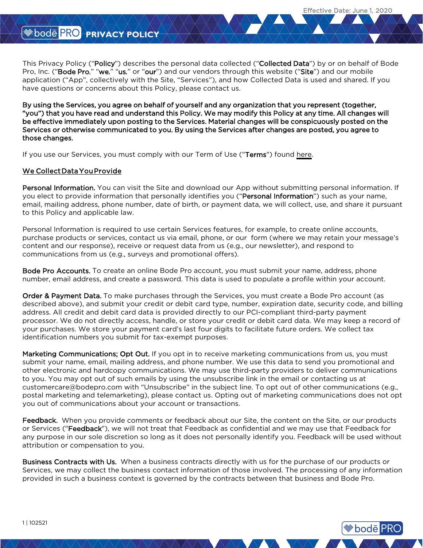**<sup>●</sup>bode PRO** 

# **W** bode PRO PRIVACY POLICY

This Privacy Policy ("Policy") describes the personal data collected ("Collected Data") by or on behalf of Bode Pro, Inc. ("Bode Pro," "we," "us," or "our") and our vendors through this website ("Site") and our mobile application ("App", collectively with the Site, "Services"), and how Collected Data is used and shared. If you have questions or concerns about this Policy, please contact us.

By using the Services, you agree on behalf of yourself and any organization that you represent (together, "you") that you have read and understand this Policy. We may modify this Policy at any time. All changes will be effective immediately upon posting to the Services. Material changes will be conspicuously posted on the Services or otherwise communicated to you. By using the Services after changes are posted, you agree to those changes.

If you use our Services, you must comply with our Term of Use ("Terms") found [here](https://www.bodepro.com/static/front/pdf/Bode_Pro_terms-of-use_102521-en.pdf).

# We Collect Data You Provide

Personal Information. You can visit the Site and download our App without submitting personal information. If you elect to provide information that personally identifies you ("Personal Information") such as your name, email, mailing address, phone number, date of birth, or payment data, we will collect, use, and share it pursuant to this Policy and applicable law.

Personal Information is required to use certain Services features, for example, to create online accounts, purchase products or services, contact us via email, phone, or our form (where we may retain your message's content and our response), receive or request data from us (e.g., our newsletter), and respond to communications from us (e.g., surveys and promotional offers).

Bode Pro Accounts. To create an online Bode Pro account, you must submit your name, address, phone number, email address, and create a password. This data is used to populate a profile within your account.

Order & Payment Data. To make purchases through the Services, you must create a Bode Pro account (as described above), and submit your credit or debit card type, number, expiration date, security code, and billing address. All credit and debit card data is provided directly to our PCI-compliant third-party payment processor. We do not directly access, handle, or store your credit or debit card data. We may keep a record of your purchases. We store your payment card's last four digits to facilitate future orders. We collect tax identification numbers you submit for tax-exempt purposes.

Marketing Communications; Opt Out. If you opt in to receive marketing communications from us, you must submit your name, email, mailing address, and phone number. We use this data to send you promotional and other electronic and hardcopy communications. We may use third-party providers to deliver communications to you. You may opt out of such emails by using the unsubscribe link in the email or contacting us at customercare@bodepro.com with "Unsubscribe" in the subject line. To opt out of other communications (e.g., postal marketing and telemarketing), please contact us. Opting out of marketing communications does not opt you out of communications about your account or transactions.

Feedback. When you provide comments or feedback about our Site, the content on the Site, or our products or Services ("Feedback"), we will not treat that Feedback as confidential and we may use that Feedback for any purpose in our sole discretion so long as it does not personally identify you. Feedback will be used without attribution or compensation to you.

Business Contracts with Us. When a business contracts directly with us for the purchase of our products or Services, we may collect the business contact information of those involved. The processing of any information provided in such a business context is governed by the contracts between that business and Bode Pro.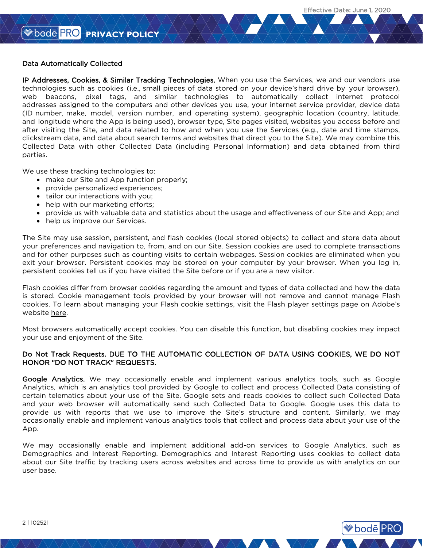**Bode PRO** 

## Data Automatically Collected

IP Addresses, Cookies, & Similar Tracking Technologies. When you use the Services, we and our vendors use technologies such as cookies (i.e., small pieces of data stored on your device's hard drive by your browser), web beacons, pixel tags, and similar technologies to automatically collect internet protocol addresses assigned to the computers and other devices you use, your internet service provider, device data (ID number, make, model, version number, and operating system), geographic location (country, latitude, and longitude where the App is being used), browser type, Site pages visited, websites you access before and after visiting the Site, and data related to how and when you use the Services (e.g., date and time stamps, clickstream data, and data about search terms and websites that direct you to the Site). We may combine this Collected Data with other Collected Data (including Personal Information) and data obtained from third parties.

We use these tracking technologies to:

- make our Site and App function properly;
- provide personalized experiences;
- tailor our interactions with you;
- help with our marketing efforts;
- provide us with valuable data and statistics about the usage and effectiveness of our Site and App; and
- help us improve our Services.

The Site may use session, persistent, and flash cookies (local stored objects) to collect and store data about your preferences and navigation to, from, and on our Site. Session cookies are used to complete transactions and for other purposes such as counting visits to certain webpages. Session cookies are eliminated when you exit your browser. Persistent cookies may be stored on your computer by your browser. When you log in, persistent cookies tell us if you have visited the Site before or if you are a new visitor.

Flash cookies differ from browser cookies regarding the amount and types of data collected and how the data is stored. Cookie management tools provided by your browser will not remove and cannot manage Flash cookies. To learn about managing your Flash cookie settings, visit the Flash player settings pa[ge on Adobe's](http://www.google.com/policies/privacy/partners)  [website here.](http://www.google.com/policies/privacy/partners)

Most browsers automatically accept cookies. You can disable this function, but disabling cookies ma[y impact](https://developers.google.com/analytics/devguides/collection/analyticsjs/cookie-usage)  [your use and enjoyment of the Site.](https://developers.google.com/analytics/devguides/collection/analyticsjs/cookie-usage) 

# Do Not Track Requests. DUE TO THE AUTOMATIC COLLECTION OF DATA USING COOKIES, WE DO NOT HONOR "DO NOT TRACK" REQUESTS.

Google Analytics. We may occasionally enable and implement various analytics tools, such as Google Analytics, which is an analytics tool provided by Google to collect and process Collected Data consisting of certain telematics about your use of the Site. Google sets and reads cookies to collect such Collected Data and your web browser will automatically send such Collected Data to Google. Google uses this data to provide us with reports that we use to improve the Site's structure and content. Similarly, we may occasionally enable and implement various analytics tools that collect and process data about your use of the App.

[We may](http://www.networkadvertising.org/choices) occasionally enable and implement additional add-on services to Google Analytics, such as Demographics and Interest Reporting. Demographics and Interest Reporting uses cookies to collect data about our Site traffic by tracking users across websites and across time to provide us with analytics on our user base.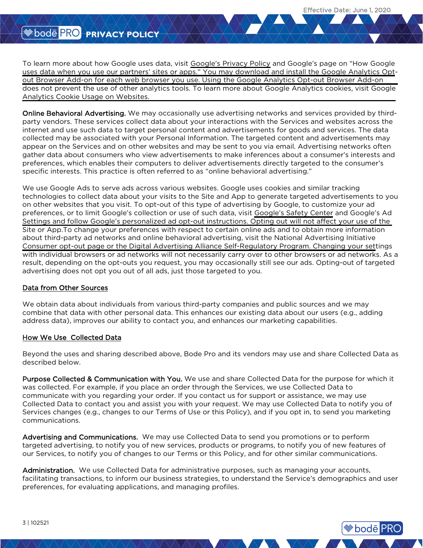**<sup>●</sup>bode PRO** 

To learn more about how Google uses data, visit [Google's Privacy Policy](http://www.google.com/policies/privacy) and Google's page on "How Google [uses data when you use our partners' sites or apps." You may download and install the Google Analytics Opt](http://www.google.com/policies/privacy/partners)out Browser Add-on for each web browser you use. Using the Google Analytics Opt-out Browser Add-on [does not prevent the use of other analytics tools. To learn more about Google Analytics cookies, visit Google](https://developers.google.com/analytics/devguides/collection/analyticsjs/cookie-usage) Analytics Cookie Usage on Websites.

Online Behavioral Advertising. We may occasionally use advertising networks and services provided by thirdparty vendors. These services collect data about your interactions with the Services and websites across the internet and use such data to target personal content and advertisements for goods and services. The data collected may be associated with your Personal Information. The targeted content and advertisements may appear on the Services and on other websites and may be sent to you via email. Advertising networks often gather data about consumers who view advertisements to make inferences about a consumer's interests and preferences, which enables their computers to deliver advertisements directly targeted to the consumer's specific interests. This practice is often referred to as "online behavioral advertising."

We use Google Ads to serve ads across various websites. Google uses cookies and similar tracking technologies to collect data about your visits to the Site and App to generate targeted advertisements to you on other websites that you visit. To opt-out of this type of advertising by Google, to customize your ad preferences, or to limit Google's collection or use of such data, visit [Google's Safety Center](https://www.google.com/safetycenter/tools) and Google's Ad [Settings and follow Google's personalized ad opt-out instructions. Opting out will not affect your use of the](http://www.google.com/settings/ads)  Site or App.To change your preferences with respect to certain online ads and to obtain more information [about third-party ad networks and online behavioral advertising, visit the National Advertising Initiative](http://www.networkadvertising.org/choices)  Consumer opt-out page or the [Digital Advertising Alliance Self-Regulatory Program.](http://www.aboutads.info/) Changing your settings with individual browsers or ad networks will not necessarily carry over to other browsers or ad networks. As a result, depending on the opt-outs you request, you may occasionally still see our ads. Opting-out of targeted advertising does not opt you out of all ads, just those targeted to you.

#### Data from Other Sources

We obtain data about individuals from various third-party companies and public sources and we may combine that data with other personal data. This enhances our existing data about our users (e.g., adding address data), improves our ability to contact you, and enhances our marketing capabilities.

#### How We Use Collected Data

Beyond the uses and sharing described above, Bode Pro and its vendors may use and share Collected Data as described below.

Purpose Collected & Communication with You. We use and share Collected Data for the purpose for which it was collected. For example, if you place an order through the Services, we use Collected Data to communicate with you regarding your order. If you contact us for support or assistance, we may use Collected Data to contact you and assist you with your request. We may use Collected Data to notify you of Services changes (e.g., changes to our Terms of Use or this Policy), and if you opt in, to send you marketing communications.

Advertising and Communications. We may use Collected Data to send you promotions or to perform targeted advertising, to notify you of new services, products or programs, to notify you of new features of our Services, to notify you of changes to our Terms or this Policy, and for other similar communications.

Administration. We use Collected Data for administrative purposes, such as managing your accounts, facilitating transactions, to inform our business strategies, to understand the Service's demographics and user preferences, for evaluating applications, and managing profiles.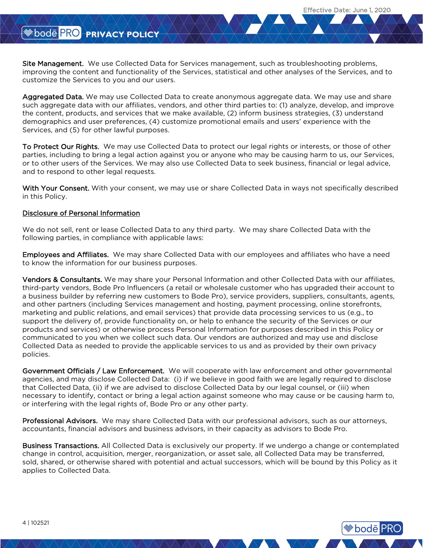**<sup>●</sup>bode</mark> PRO** 

Site Management. We use Collected Data for Services management, such as troubleshooting problems, improving the content and functionality of the Services, statistical and other analyses of the Services, and to customize the Services to you and our users.

Aggregated Data. We may use Collected Data to create anonymous aggregate data. We may use and share such aggregate data with our affiliates, vendors, and other third parties to: (1) analyze, develop, and improve the content, products, and services that we make available, (2) inform business strategies, (3) understand demographics and user preferences, (4) customize promotional emails and users' experience with the Services, and (5) for other lawful purposes.

To Protect Our Rights. We may use Collected Data to protect our legal rights or interests, or those of other parties, including to bring a legal action against you or anyone who may be causing harm to us, our Services, or to other users of the Services. We may also use Collected Data to seek business, financial or legal advice, and to respond to other legal requests.

With Your Consent. With your consent, we may use or share Collected Data in ways not specifically described in this Policy.

## Disclosure of Personal Information

We do not sell, rent or lease Collected Data to any third party. We may share Collected Data with the following parties, in compliance with applicable laws:

Employees and Affiliates. We may share Collected Data with our employees and affiliates who have a need to know the information for our business purposes.

Vendors & Consultants. We may share your Personal Information and other Collected Data with our affiliates, third-party vendors, Bode Pro Influencers (a retail or wholesale customer who has upgraded their account to a business builder by referring new customers to Bode Pro), service providers, suppliers, consultants, agents, and other partners (including Services management and hosting, payment processing, online storefronts, marketing and public relations, and email services) that provide data processing services to us (e.g., to support the delivery of, provide functionality on, or help to enhance the security of the Services or our products and services) or otherwise process Personal Information for purposes described in this Policy or communicated to you when we collect such data. Our vendors are authorized and may use and disclose Collected Data as needed to provide the applicable services to us and as provided by their own privacy policies.

Government Officials / Law Enforcement. We will cooperate with law enforcement and other governmental agencies, and may disclose Collected Data: (i) if we believe in good faith we are legally required to disclose that Collected Data, (ii) if we are advised to disclose Collected Data by our legal counsel, or (iii) when necessary to identify, contact or bring a legal action against someone who may cause or be causing harm to, or interfering with the legal rights of, Bode Pro or any other party.

Professional Advisors. We may share Collected Data with our professional advisors, such as our attorneys, accountants, financial advisors and business advisors, in their capacity as advisors to Bode Pro.

Business Transactions. All Collected Data is exclusively our property. If we undergo a change or contemplated change in control, acquisition, merger, reorganization, or asset sale, all Collected Data may be transferred, sold, shared, or otherwise shared with potential and actual successors, which will be bound by this Policy as it applies to Collected Data.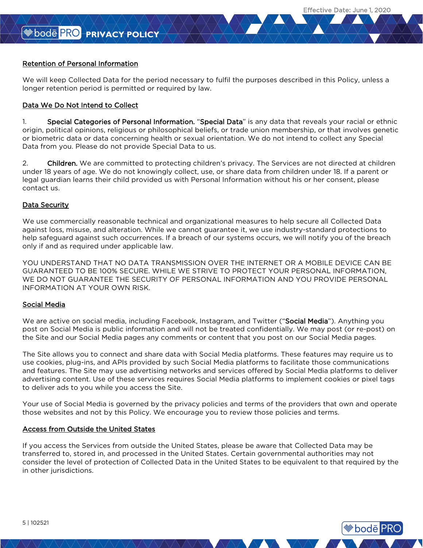**<sup>●</sup>bode</mark> PRO** 

# Retention of Personal Information

We will keep Collected Data for the period necessary to fulfil the purposes described in this Policy, unless a longer retention period is permitted or required by law.

# Data We Do Not Intend to Collect

1. Special Categories of Personal Information. "Special Data" is any data that reveals your racial or ethnic origin, political opinions, religious or philosophical beliefs, or trade union membership, or that involves genetic or biometric data or data concerning health or sexual orientation. We do not intend to collect any Special Data from you. Please do not provide Special Data to us.

2. Children. We are committed to protecting children's privacy. The Services are not directed at children under 18 years of age. We do not knowingly collect, use, or share data from children under 18. If a parent or legal guardian learns their child provided us with Personal Information without his or her consent, please contact us.

## Data Security

We use commercially reasonable technical and organizational measures to help secure all Collected Data against loss, misuse, and alteration. While we cannot guarantee it, we use industry-standard protections to help safeguard against such occurrences. If a breach of our systems occurs, we will notify you of the breach only if and as required under applicable law.

YOU UNDERSTAND THAT NO DATA TRANSMISSION OVER THE INTERNET OR A MOBILE DEVICE CAN BE GUARANTEED TO BE 100% SECURE. WHILE WE STRIVE TO PROTECT YOUR PERSONAL INFORMATION, WE DO NOT GUARANTEE THE SECURITY OF PERSONAL INFORMATION AND YOU PROVIDE PERSONAL INFORMATION AT YOUR OWN RISK.

#### Social Media

We are active on social media, including Facebook, Instagram, and Twitter ("Social Media"). Anything you post on Social Media is public information and will not be treated confidentially. We may post (or re-post) on the Site and our Social Media pages any comments or content that you post on our Social Media pages.

The Site allows you to connect and share data with Social Media platforms. These features may require us to use cookies, plug-ins, and APIs provided by such Social Media platforms to facilitate those communications and features. The Site may use advertising networks and services offered by Social Media platforms to deliver advertising content. Use of these services requires Social Media platforms to implement cookies or pixel tags to deliver ads to you while you access the Site.

Your use of Social Media is governed by the privacy policies and terms of the providers that own and operate those websites and not by this Policy. We encourage you to review those policies and terms.

#### Access from Outside the United States

If you access the Services from outside the United States, please be aware that Collected Data may be transferred to, stored in, and processed in the United States. Certain governmental authorities may not consider the level of protection of Collected Data in the United States to be equivalent to that required by the in other jurisdictions.